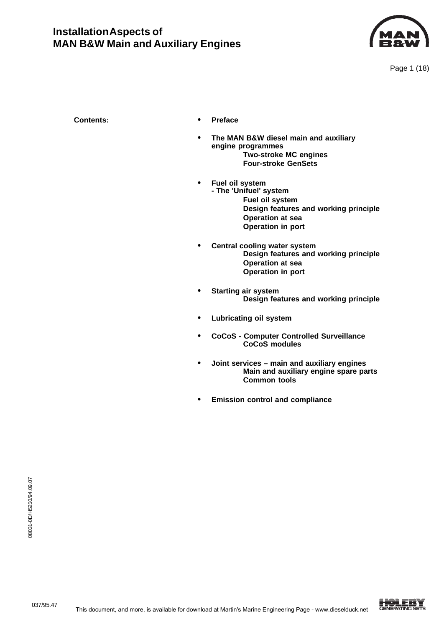

- **Contents: • Preface**
	- **• The MAN B&W diesel main and auxiliary engine programmes Two-stroke MC engines Four-stroke GenSets**
		- **• Fuel oil system - The 'Unifuel' system Fuel oil system Design features and working principle Operation at sea Operation in port**
	- **• Central cooling water system Design features and working principle Operation at sea Operation in port**
	- **• Starting air system Design features and working principle**
	- **• Lubricating oil system**
	- **• CoCoS Computer Controlled Surveillance CoCoS modules**
	- **• Joint services main and auxiliary engines Main and auxiliary engine spare parts Common tools**
	- **• Emission control and compliance**

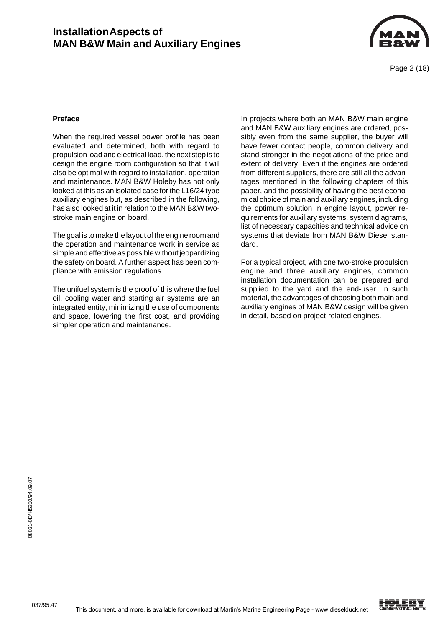

Page 2 (18)

#### **Preface**

When the required vessel power profile has been evaluated and determined, both with regard to propulsion load and electrical load, the next step is to design the engine room configuration so that it will also be optimal with regard to installation, operation and maintenance. MAN B&W Holeby has not only looked at this as an isolated case for the L16/24 type auxiliary engines but, as described in the following, has also looked at it in relation to the MAN B&W twostroke main engine on board.

The goal is to make the layout of the engine room and the operation and maintenance work in service as simple and effective as possible without jeopardizing the safety on board. A further aspect has been compliance with emission regulations.

The unifuel system is the proof of this where the fuel oil, cooling water and starting air systems are an integrated entity, minimizing the use of components and space, lowering the first cost, and providing simpler operation and maintenance.

In projects where both an MAN B&W main engine and MAN B&W auxiliary engines are ordered, possibly even from the same supplier, the buyer will have fewer contact people, common delivery and stand stronger in the negotiations of the price and extent of delivery. Even if the engines are ordered from different suppliers, there are still all the advantages mentioned in the following chapters of this paper, and the possibility of having the best economical choice of main and auxiliary engines, including the optimum solution in engine layout, power requirements for auxiliary systems, system diagrams, list of necessary capacities and technical advice on systems that deviate from MAN B&W Diesel standard.

For a typical project, with one two-stroke propulsion engine and three auxiliary engines, common installation documentation can be prepared and supplied to the yard and the end-user. In such material, the advantages of choosing both main and auxiliary engines of MAN B&W design will be given in detail, based on project-related engines.

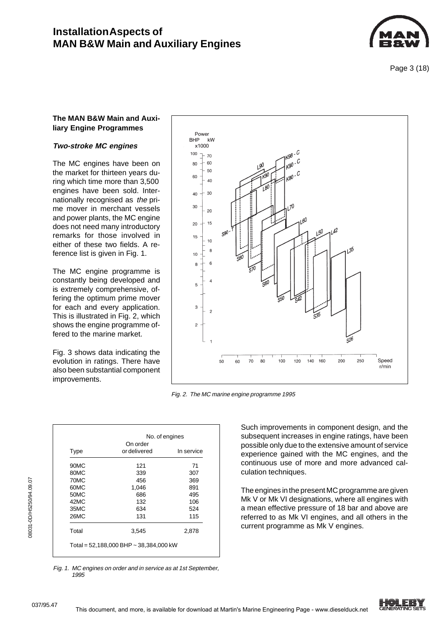

Page 3 (18)

### **The MAN B&W Main and Auxiliary Engine Programmes**

### **Two-stroke MC engines**

The MC engines have been on the market for thirteen years during which time more than 3,500 engines have been sold. Internationally recognised as the prime mover in merchant vessels and power plants, the MC engine does not need many introductory remarks for those involved in either of these two fields. A reference list is given in Fig. 1.

The MC engine programme is constantly being developed and is extremely comprehensive, offering the optimum prime mover for each and every application. This is illustrated in Fig. 2, which shows the engine programme offered to the marine market.

Fig. 3 shows data indicating the evolution in ratings. There have also been substantial component improvements.

| Power<br>BHP kW<br>x1000<br>$100 + 70$<br>$80 + 60$<br>$-50$<br>60<br>$-40$<br>$40 + 30$<br>$30 -$<br>$-20$<br>$20 + 15$<br>15<br>10<br>8<br>$10$<br>6<br>8<br>$\overline{4}$<br>$\sqrt{5}$<br>$3 -$<br>$\overline{c}$<br>$\overline{2}$<br>$\overline{1}$ | $K98 - C$<br>$1_{K90}$ - C<br>$L^{90}$<br>$1_{K80}$ - C<br>$K^{00}$<br>180:<br>70<br>$L^{60}$<br>142<br>$590 - 7$<br>$L^{50}$<br>135<br>$\sqrt{580}$<br>570<br>560<br>$\mathsf{S}50$<br>54'<br>535<br>$526$ |
|------------------------------------------------------------------------------------------------------------------------------------------------------------------------------------------------------------------------------------------------------------|-------------------------------------------------------------------------------------------------------------------------------------------------------------------------------------------------------------|
|                                                                                                                                                                                                                                                            | т<br>Г<br>ц<br>$\mathbf{I}$<br>$\mathbf{I}$<br>Speed<br>250<br>$70\,$<br>160<br>200<br>80<br>100<br>140<br>50<br>60<br>120<br>r/min                                                                         |

Fig. 2. The MC marine engine programme 1995

|       | No. of engines<br>On order |            |  |  |  |
|-------|----------------------------|------------|--|--|--|
| Type  | or delivered               | In service |  |  |  |
| 90MC  | 121                        | 71         |  |  |  |
| 80MC  | 339                        | 307        |  |  |  |
| 70MC  | 456                        | 369        |  |  |  |
| 60MC  | 1,046                      | 891        |  |  |  |
| 50MC  | 686                        | 495        |  |  |  |
| 42MC  | 132                        | 106        |  |  |  |
| 35MC  | 634                        | 524        |  |  |  |
| 26MC  | 131                        | 115        |  |  |  |
| Total | 3,545                      | 2,878      |  |  |  |

Fig. 1. MC engines on order and in service as at 1st September, 1995

Such improvements in component design, and the subsequent increases in engine ratings, have been possible only due to the extensive amount of service experience gained with the MC engines, and the continuous use of more and more advanced calculation techniques.

The engines in the present MC programme are given Mk V or Mk VI designations, where all engines with a mean effective pressure of 18 bar and above are referred to as Mk VI engines, and all others in the current programme as Mk V engines.



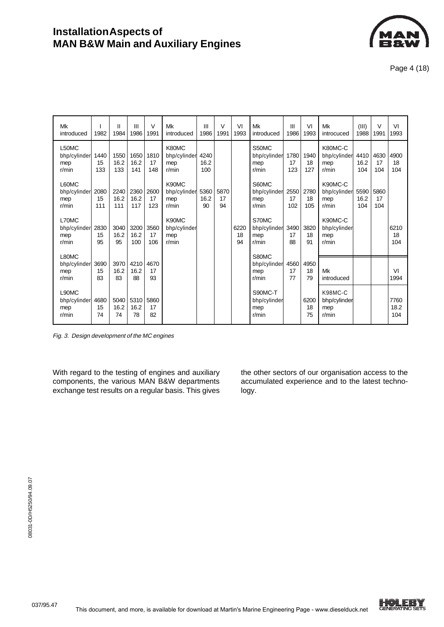

Page 4 (18)

| Mk<br>introduced                      | 1982              | Ш<br>1984           | III<br>1986         | $\vee$<br>1991    | Mk<br>introduced                         | Ш<br>1986           | $\vee$<br>1991   | VI<br>1993       | Mk<br>introduced                        | Ш<br>1986         | VI<br>1993        | Mk<br>introcuced                        | (III)<br>1988       | $\vee$<br>1991    | VI<br>1993          |
|---------------------------------------|-------------------|---------------------|---------------------|-------------------|------------------------------------------|---------------------|------------------|------------------|-----------------------------------------|-------------------|-------------------|-----------------------------------------|---------------------|-------------------|---------------------|
| L50MC<br>bhp/cylinder<br>mep<br>r/min | 1440<br>15<br>133 | 1550<br>16.2<br>133 | 1650<br>16.2<br>141 | 1810<br>17<br>148 | K80MC<br>bhp/cylinder<br>mep<br>r/min    | 4240<br>16.2<br>100 |                  |                  | S50MC<br>bhp/cylinder<br>mep<br>r/min   | 1780<br>17<br>123 | 1940<br>18<br>127 | K80MC-C<br>bhp/cylinder<br>mep<br>r/min | 4410<br>16.2<br>104 | 4630<br>17<br>104 | 4900<br>18<br>104   |
| L60MC<br>bhp/cylinder<br>mep<br>r/min | 2080<br>15<br>111 | 2240<br>16.2<br>111 | 2360<br>16.2<br>117 | 2600<br>17<br>123 | K90MC<br>bhp/cylinder<br>mep<br>r/min    | 5360<br>16.2<br>90  | 5870<br>17<br>94 |                  | S60MC<br>bhp/cylinder<br>mep<br>r/min   | 2550<br>17<br>102 | 2780<br>18<br>105 | K90MC-C<br>bhp/cylinder<br>mep<br>r/min | 5590<br>16.2<br>104 | 5860<br>17<br>104 |                     |
| L70MC<br>bhp/cylinder<br>mep<br>r/min | 2830<br>15<br>95  | 3040<br>16.2<br>95  | 3200<br>16.2<br>100 | 3560<br>17<br>106 | K90MC<br>bhp/cylinder<br>mep<br>$r/m$ in |                     |                  | 6220<br>18<br>94 | S70MC<br>bhp/cylinder<br>mep<br>r/min   | 3490<br>17<br>88  | 3820<br>18<br>91  | K90MC-C<br>bhp/cylinder<br>mep<br>r/min |                     |                   | 6210<br>18<br>104   |
| L80MC<br>bhp/cylinder<br>mep<br>r/min | 3690<br>15<br>83  | 3970<br>16.2<br>83  | 4210<br>16.2<br>88  | 4670<br>17<br>93  |                                          |                     |                  |                  | S80MC<br>bhp/cylinder<br>mep<br>r/min   | 4560<br>17<br>77  | 4950<br>18<br>79  | Mk<br>introduced                        |                     |                   | VI<br>1994          |
| L90MC<br>bhp/cylinder<br>mep<br>r/min | 4680<br>15<br>74  | 5040<br>16.2<br>74  | 5310<br>16.2<br>78  | 5860<br>17<br>82  |                                          |                     |                  |                  | S90MC-T<br>bhp/cylinder<br>mep<br>r/min |                   | 6200<br>18<br>75  | K98MC-C<br>bhp/cylinder<br>mep<br>r/min |                     |                   | 7760<br>18.2<br>104 |

Fig. 3. Design development of the MC engines

With regard to the testing of engines and auxiliary components, the various MAN B&W departments exchange test results on a regular basis. This gives the other sectors of our organisation access to the accumulated experience and to the latest technology.

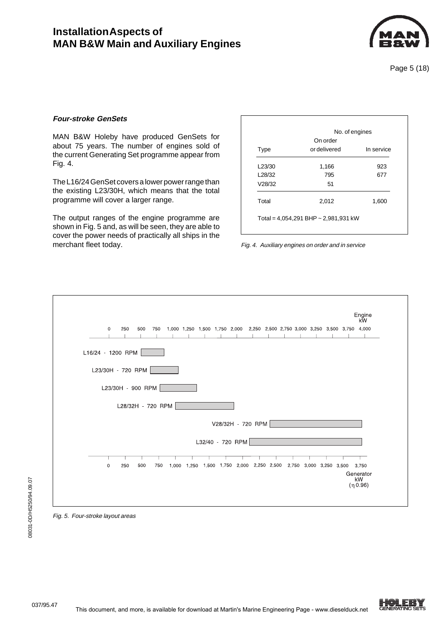

Page 5 (18)

#### **Four-stroke GenSets**

MAN B&W Holeby have produced GenSets for about 75 years. The number of engines sold of the current Generating Set programme appear from Fig. 4.

The L16/24 GenSet covers a lower power range than the existing L23/30H, which means that the total programme will cover a larger range.

The output ranges of the engine programme are shown in Fig. 5 and, as will be seen, they are able to cover the power needs of practically all ships in the merchant fleet today.

|        | On order     | No. of engines |
|--------|--------------|----------------|
| Type   | or delivered | In service     |
| L23/30 | 1,166        | 923            |
| L28/32 | 795          | 677            |
| V28/32 | 51           |                |
| Total  | 2,012        | 1,600          |

Fig. 4. Auxiliary engines on order and in service





08031-0D/H5250/94.09.07

08031-0D/H5250/94.09.07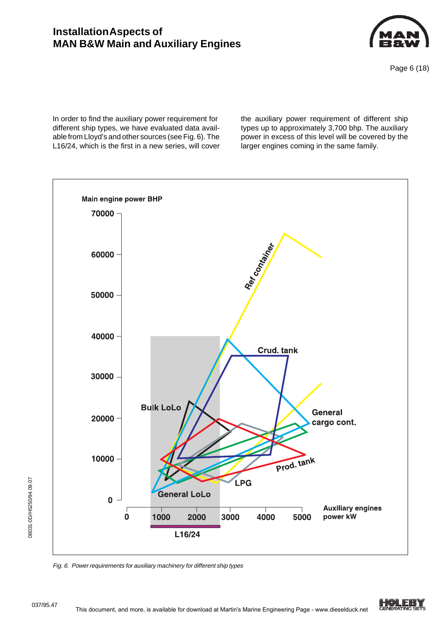

Page 6 (18)

In order to find the auxiliary power requirement for different ship types, we have evaluated data available from Lloyd's and other sources (see Fig. 6). The L16/24, which is the first in a new series, will cover the auxiliary power requirement of different ship types up to approximately 3,700 bhp. The auxiliary power in excess of this level will be covered by the larger engines coming in the same family.



Fig. 6. Power requirements for auxiliary machinery for different ship types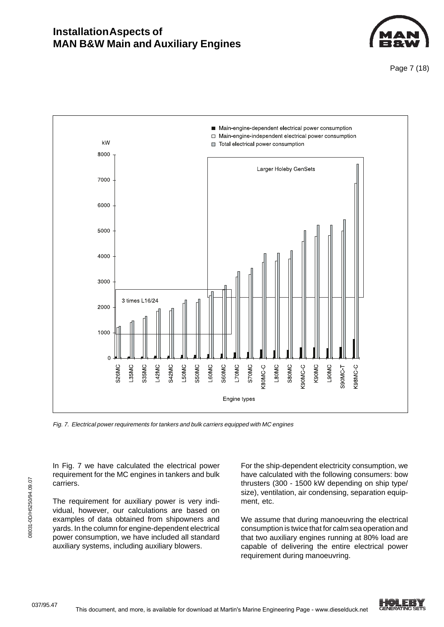

Page 7 (18)



Fig. 7. Electrical power requirements for tankers and bulk carriers equipped with MC engines

In Fig. 7 we have calculated the electrical power requirement for the MC engines in tankers and bulk carriers.

The requirement for auxiliary power is very individual, however, our calculations are based on examples of data obtained from shipowners and yards. In the column for engine-dependent electrical power consumption, we have included all standard auxiliary systems, including auxiliary blowers.

For the ship-dependent electricity consumption, we have calculated with the following consumers: bow thrusters (300 - 1500 kW depending on ship type/ size), ventilation, air condensing, separation equipment, etc.

We assume that during manoeuvring the electrical consumption is twice that for calm sea operation and that two auxiliary engines running at 80% load are capable of delivering the entire electrical power requirement during manoeuvring.

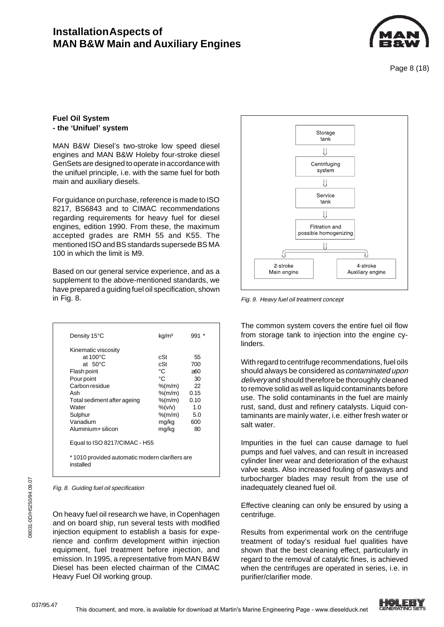

Page 8 (18)

### **Fuel Oil System - the 'Unifuel' system**

MAN B&W Diesel's two-stroke low speed diesel engines and MAN B&W Holeby four-stroke diesel GenSets are designed to operate in accordance with the unifuel principle, i.e. with the same fuel for both main and auxiliary diesels.

For guidance on purchase, reference is made to ISO 8217, BS6843 and to CIMAC recommendations regarding requirements for heavy fuel for diesel engines, edition 1990. From these, the maximum accepted grades are RMH 55 and K55. The mentioned ISO and BS standards supersede BS MA 100 in which the limit is M9.

Based on our general service experience, and as a supplement to the above-mentioned standards, we have prepared a guiding fuel oil specification, shown in Fig. 8. Fig. 8.

| Density 15°C                  | kg/m <sup>3</sup>                              | $991 *$ |  |  |  |  |  |
|-------------------------------|------------------------------------------------|---------|--|--|--|--|--|
| Kinematic viscosity           |                                                |         |  |  |  |  |  |
| at $100^{\circ}$ C            | cSt                                            | 55      |  |  |  |  |  |
| at $50^{\circ}$ C             | cSt                                            | 700     |  |  |  |  |  |
| Flash point                   | °C                                             | >60     |  |  |  |  |  |
| Pour point                    | °C                                             | 30      |  |  |  |  |  |
| Carbon residue                | $%$ (m/m)                                      | 22      |  |  |  |  |  |
| Ash                           | $%$ (m/m)                                      | 0.15    |  |  |  |  |  |
| Total sediment after ageing   | %(m/m)                                         | 0.10    |  |  |  |  |  |
| Water                         | $\frac{9}{6}$ (v/v)                            | 1.0     |  |  |  |  |  |
| Sulphur                       | $%$ (m/m)                                      | - 5.0   |  |  |  |  |  |
| Vanadium                      | mg/kg                                          | 600     |  |  |  |  |  |
| Aluminium+ silicon            | mg/kg                                          | 80      |  |  |  |  |  |
| Equal to ISO 8217/CIMAC - H55 |                                                |         |  |  |  |  |  |
| installed                     | *1010 provided automatic modern clarifiers are |         |  |  |  |  |  |

Fig. 8. Guiding fuel oil specification

On heavy fuel oil research we have, in Copenhagen and on board ship, run several tests with modified injection equipment to establish a basis for experience and confirm development within injection equipment, fuel treatment before injection, and emission. In 1995, a representative from MAN B&W Diesel has been elected chairman of the CIMAC Heavy Fuel Oil working group.



The common system covers the entire fuel oil flow from storage tank to injection into the engine cylinders.

With regard to centrifuge recommendations, fuel oils should always be considered as contaminated upon delivery and should therefore be thoroughly cleaned to remove solid as well as liquid contaminants before use. The solid contaminants in the fuel are mainly rust, sand, dust and refinery catalysts. Liquid contaminants are mainly water, i.e. either fresh water or salt water.

Impurities in the fuel can cause damage to fuel pumps and fuel valves, and can result in increased cylinder liner wear and deterioration of the exhaust valve seats. Also increased fouling of gasways and turbocharger blades may result from the use of inadequately cleaned fuel oil.

Effective cleaning can only be ensured by using a centrifuge.

Results from experimental work on the centrifuge treatment of today's residual fuel qualities have shown that the best cleaning effect, particularly in regard to the removal of catalytic fines, is achieved when the centrifuges are operated in series, i.e. in purifier/clarifier mode.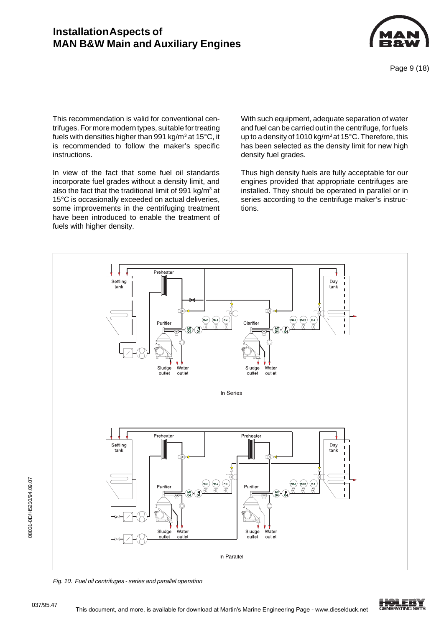

This recommendation is valid for conventional centrifuges. For more modern types, suitable for treating fuels with densities higher than 991 kg/m $^3$  at 15°C, it is recommended to follow the maker's specific instructions.

In view of the fact that some fuel oil standards incorporate fuel grades without a density limit, and also the fact that the traditional limit of 991 kg/m<sup>3</sup> at 15°C is occasionally exceeded on actual deliveries, some improvements in the centrifuging treatment have been introduced to enable the treatment of fuels with higher density.

With such equipment, adequate separation of water and fuel can be carried out in the centrifuge, for fuels up to a density of 1010 kg/m<sup>3</sup> at 15°C. Therefore, this has been selected as the density limit for new high density fuel grades.

Thus high density fuels are fully acceptable for our engines provided that appropriate centrifuges are installed. They should be operated in parallel or in series according to the centrifuge maker's instructions.



Fig. 10. Fuel oil centrifuges - series and parallel operation

08031-0D/H5250/94.09.07

08031-0D/H5250/94.09.07

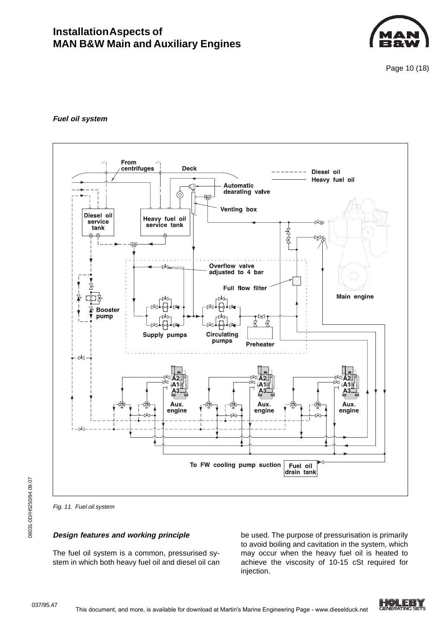

Page 10 (18)

### **Fuel oil system**



Fig. 11. Fuel oil system

### **Design features and working principle**

The fuel oil system is a common, pressurised system in which both heavy fuel oil and diesel oil can be used. The purpose of pressurisation is primarily to avoid boiling and cavitation in the system, which may occur when the heavy fuel oil is heated to achieve the viscosity of 10-15 cSt required for injection.

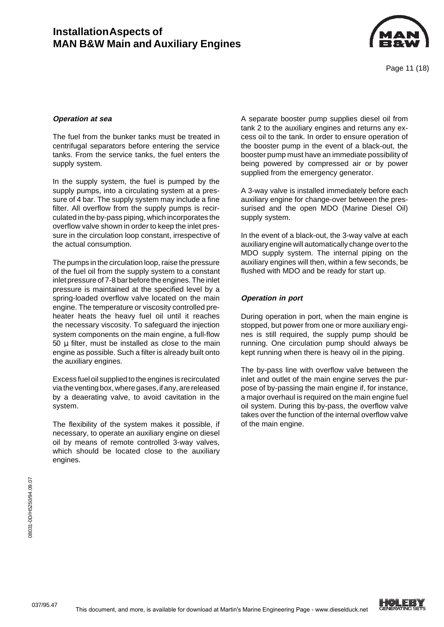

#### **Operation at sea**

The fuel from the bunker tanks must be treated in centrifugal separators before entering the service tanks. From the service tanks, the fuel enters the supply system.

In the supply system, the fuel is pumped by the supply pumps, into a circulating system at a pressure of 4 bar. The supply system may include a fine filter. All overflow from the supply pumps is recirculated in the by-pass piping, which incorporates the overflow valve shown in order to keep the inlet pressure in the circulation loop constant, irrespective of the actual consumption.

The pumps in the circulation loop, raise the pressure of the fuel oil from the supply system to a constant inlet pressure of 7-8 bar before the engines. The inlet pressure is maintained at the specified level by a spring-loaded overflow valve located on the main engine. The temperature or viscosity controlled preheater heats the heavy fuel oil until it reaches the necessary viscosity. To safeguard the injection system components on the main engine, a full-flow 50  $\mu$  filter, must be installed as close to the main engine as possible. Such a filter is already built onto the auxiliary engines.

Excess fuel oil supplied to the engines is recirculated via the venting box, where gases, if any, are released by a deaerating valve, to avoid cavitation in the system.

The flexibility of the system makes it possible, if necessary, to operate an auxiliary engine on diesel oil by means of remote controlled 3-way valves, which should be located close to the auxiliary engines.

A separate booster pump supplies diesel oil from tank 2 to the auxiliary engines and returns any excess oil to the tank. In order to ensure operation of the booster pump in the event of a black-out, the booster pump must have an immediate possibility of being powered by compressed air or by power supplied from the emergency generator.

A 3-way valve is installed immediately before each auxiliary engine for change-over between the pressurised and the open MDO (Marine Diesel Oil) supply system.

In the event of a black-out, the 3-way valve at each auxiliary engine will automatically change over to the MDO supply system. The internal piping on the auxiliary engines will then, within a few seconds, be flushed with MDO and be ready for start up.

#### **Operation in port**

During operation in port, when the main engine is stopped, but power from one or more auxiliary engines is still required, the supply pump should be running. One circulation pump should always be kept running when there is heavy oil in the piping.

The by-pass line with overflow valve between the inlet and outlet of the main engine serves the purpose of by-passing the main engine if, for instance, a major overhaul is required on the main engine fuel oil system. During this by-pass, the overflow valve takes over the function of the internal overflow valve of the main engine.

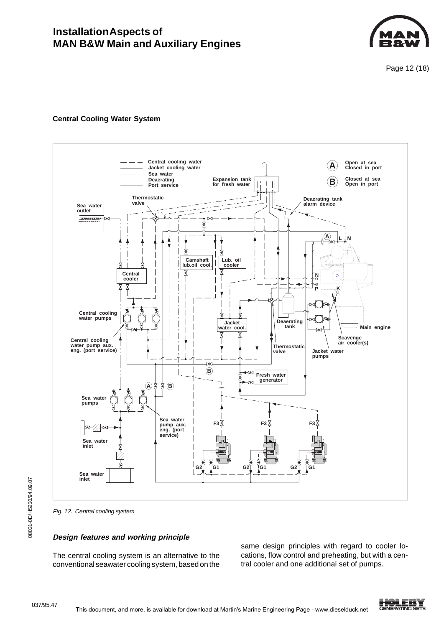

Page 12 (18)

### **Central Cooling Water System**



Fig. 12. Central cooling system

#### **Design features and working principle**

The central cooling system is an alternative to the conventional seawater cooling system, based on the

same design principles with regard to cooler locations, flow control and preheating, but with a central cooler and one additional set of pumps.

08031-0D/H5250/94.09.07

08031-0D/H5250/94.09.07

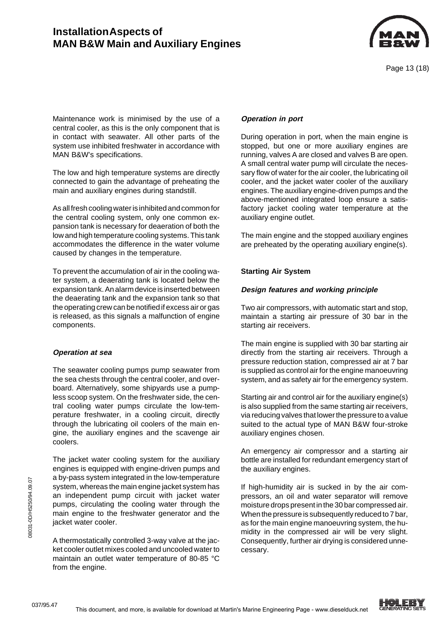

Maintenance work is minimised by the use of a central cooler, as this is the only component that is in contact with seawater. All other parts of the system use inhibited freshwater in accordance with MAN B&W's specifications.

The low and high temperature systems are directly connected to gain the advantage of preheating the main and auxiliary engines during standstill.

As all fresh cooling water is inhibited and common for the central cooling system, only one common expansion tank is necessary for deaeration of both the low and high temperature cooling systems. This tank accommodates the difference in the water volume caused by changes in the temperature.

To prevent the accumulation of air in the cooling water system, a deaerating tank is located below the expansion tank. An alarm device is inserted between the deaerating tank and the expansion tank so that the operating crew can be notified if excess air or gas is released, as this signals a malfunction of engine components.

#### **Operation at sea**

The seawater cooling pumps pump seawater from the sea chests through the central cooler, and overboard. Alternatively, some shipyards use a pumpless scoop system. On the freshwater side, the central cooling water pumps circulate the low-temperature freshwater, in a cooling circuit, directly through the lubricating oil coolers of the main engine, the auxiliary engines and the scavenge air coolers.

The jacket water cooling system for the auxiliary engines is equipped with engine-driven pumps and a by-pass system integrated in the low-temperature system, whereas the main engine jacket system has an independent pump circuit with jacket water pumps, circulating the cooling water through the main engine to the freshwater generator and the jacket water cooler.

A thermostatically controlled 3-way valve at the jacket cooler outlet mixes cooled and uncooled water to maintain an outlet water temperature of 80-85 °C from the engine.

### **Operation in port**

During operation in port, when the main engine is stopped, but one or more auxiliary engines are running, valves A are closed and valves B are open. A small central water pump will circulate the necessary flow of water for the air cooler, the lubricating oil cooler, and the jacket water cooler of the auxiliary engines. The auxiliary engine-driven pumps and the above-mentioned integrated loop ensure a satisfactory jacket cooling water temperature at the auxiliary engine outlet.

The main engine and the stopped auxiliary engines are preheated by the operating auxiliary engine(s).

### **Starting Air System**

### **Design features and working principle**

Two air compressors, with automatic start and stop, maintain a starting air pressure of 30 bar in the starting air receivers.

The main engine is supplied with 30 bar starting air directly from the starting air receivers. Through a pressure reduction station, compressed air at 7 bar is supplied as control air for the engine manoeuvring system, and as safety air for the emergency system.

Starting air and control air for the auxiliary engine(s) is also supplied from the same starting air receivers, via reducing valves that lower the pressure to a value suited to the actual type of MAN B&W four-stroke auxiliary engines chosen.

An emergency air compressor and a starting air bottle are installed for redundant emergency start of the auxiliary engines.

If high-humidity air is sucked in by the air compressors, an oil and water separator will remove moisture drops present in the 30 bar compressed air. When the pressure is subsequently reduced to 7 bar, as for the main engine manoeuvring system, the humidity in the compressed air will be very slight. Consequently, further air drying is considered unnecessary.

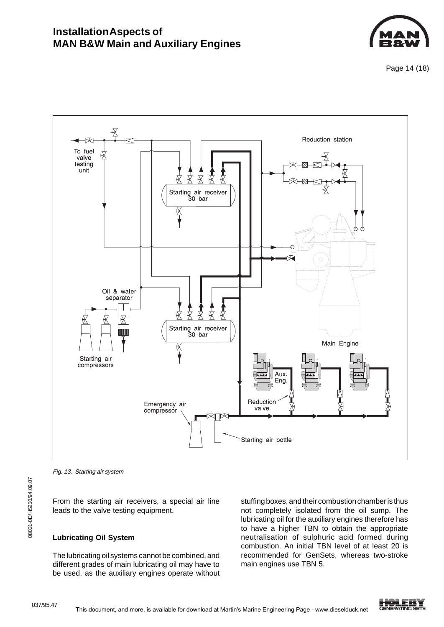

Page 14 (18)



Fig. 13. Starting air system

From the starting air receivers, a special air line leads to the valve testing equipment.

# **Lubricating Oil System**

The lubricating oil systems cannot be combined, and different grades of main lubricating oil may have to be used, as the auxiliary engines operate without

stuffing boxes, and their combustion chamber is thus not completely isolated from the oil sump. The lubricating oil for the auxiliary engines therefore has to have a higher TBN to obtain the appropriate neutralisation of sulphuric acid formed during combustion. An initial TBN level of at least 20 is recommended for GenSets, whereas two-stroke main engines use TBN 5.

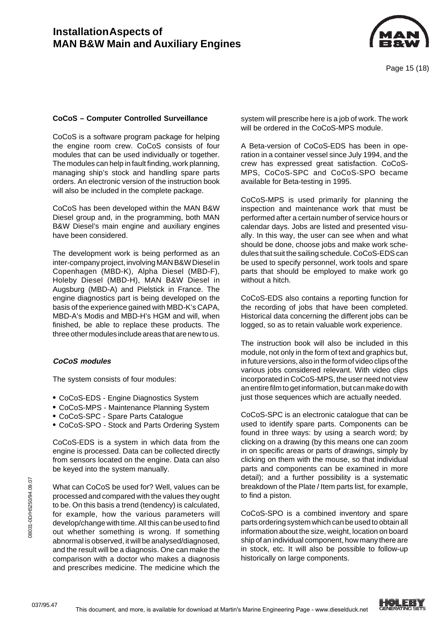

### **CoCoS – Computer Controlled Surveillance**

CoCoS is a software program package for helping the engine room crew. CoCoS consists of four modules that can be used individually or together. The modules can help in fault finding, work planning, managing ship's stock and handling spare parts orders. An electronic version of the instruction book will also be included in the complete package.

CoCoS has been developed within the MAN B&W Diesel group and, in the programming, both MAN B&W Diesel's main engine and auxiliary engines have been considered.

The development work is being performed as an inter-company project, involving MAN B&W Diesel in Copenhagen (MBD-K), Alpha Diesel (MBD-F), Holeby Diesel (MBD-H), MAN B&W Diesel in Augsburg (MBD-A) and Pielstick in France. The engine diagnostics part is being developed on the basis of the experience gained with MBD-K's CAPA, MBD-A's Modis and MBD-H's HGM and will, when finished, be able to replace these products. The three other modules include areas that are new to us.

#### **CoCoS modules**

The system consists of four modules:

- **•** CoCoS-EDS Engine Diagnostics System
- **•** CoCoS-MPS Maintenance Planning System
- **•** CoCoS-SPC Spare Parts Catalogue
- **•** CoCoS-SPO Stock and Parts Ordering System

CoCoS-EDS is a system in which data from the engine is processed. Data can be collected directly from sensors located on the engine. Data can also be keyed into the system manually.

What can CoCoS be used for? Well, values can be processed and compared with the values they ought to be. On this basis a trend (tendency) is calculated, for example, how the various parameters will develop/change with time. All this can be used to find out whether something is wrong. If something abnormal is observed, it will be analysed/diagnosed, and the result will be a diagnosis. One can make the comparison with a doctor who makes a diagnosis and prescribes medicine. The medicine which the system will prescribe here is a job of work. The work will be ordered in the CoCoS-MPS module.

A Beta-version of CoCoS-EDS has been in operation in a container vessel since July 1994, and the crew has expressed great satisfaction. CoCoS-MPS, CoCoS-SPC and CoCoS-SPO became available for Beta-testing in 1995.

CoCoS-MPS is used primarily for planning the inspection and maintenance work that must be performed after a certain number of service hours or calendar days. Jobs are listed and presented visually. In this way, the user can see when and what should be done, choose jobs and make work schedules that suit the sailing schedule. CoCoS-EDS can be used to specify personnel, work tools and spare parts that should be employed to make work go without a hitch.

CoCoS-EDS also contains a reporting function for the recording of jobs that have been completed. Historical data concerning the different jobs can be logged, so as to retain valuable work experience.

The instruction book will also be included in this module, not only in the form of text and graphics but, in future versions, also in the form of video clips of the various jobs considered relevant. With video clips incorporated in CoCoS-MPS, the user need not view an entire film to get information, but can make do with just those sequences which are actually needed.

CoCoS-SPC is an electronic catalogue that can be used to identify spare parts. Components can be found in three ways: by using a search word; by clicking on a drawing (by this means one can zoom in on specific areas or parts of drawings, simply by clicking on them with the mouse, so that individual parts and components can be examined in more detail); and a further possibility is a systematic breakdown of the Plate / Item parts list, for example, to find a piston.

CoCoS-SPO is a combined inventory and spare parts ordering system which can be used to obtain all information about the size, weight, location on board ship of an individual component, how many there are in stock, etc. It will also be possible to follow-up historically on large components.

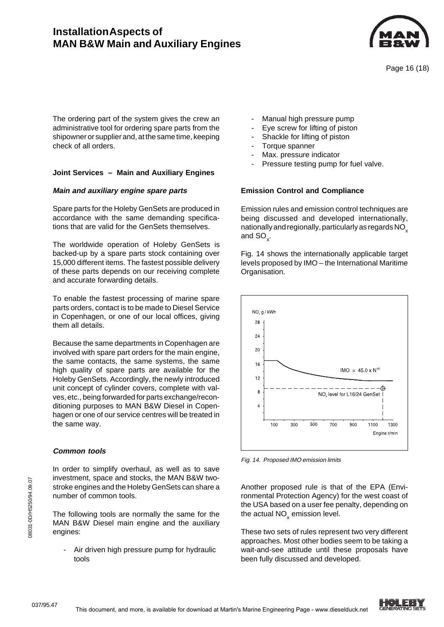

The ordering part of the system gives the crew an administrative tool for ordering spare parts from the shipowner or supplier and, at the same time, keeping check of all orders.

### **Joint Services – Main and Auxiliary Engines**

#### **Main and auxiliary engine spare parts**

Spare parts for the Holeby GenSets are produced in accordance with the same demanding specifications that are valid for the GenSets themselves.

The worldwide operation of Holeby GenSets is backed-up by a spare parts stock containing over 15,000 different items. The fastest possible delivery of these parts depends on our receiving complete and accurate forwarding details.

To enable the fastest processing of marine spare parts orders, contact is to be made to Diesel Service in Copenhagen, or one of our local offices, giving them all details.

Because the same departments in Copenhagen are involved with spare part orders for the main engine, the same contacts, the same systems, the same high quality of spare parts are available for the Holeby GenSets. Accordingly, the newly introduced unit concept of cylinder covers, complete with valves, etc., being forwarded for parts exchange/reconditioning purposes to MAN B&W Diesel in Copenhagen or one of our service centres will be treated in the same way.

### **Common tools**

In order to simplify overhaul, as well as to save investment, space and stocks, the MAN B&W twostroke engines and the Holeby GenSets can share a number of common tools.

The following tools are normally the same for the MAN B&W Diesel main engine and the auxiliary engines:

Air driven high pressure pump for hydraulic tools

- Manual high pressure pump
- Eye screw for lifting of piston
- Shackle for lifting of piston
- Torque spanner
- Max. pressure indicator
- Pressure testing pump for fuel valve.

### **Emission Control and Compliance**

Emission rules and emission control techniques are being discussed and developed internationally, nationally and regionally, particularly as regards  $NO<sub>x</sub>$ and SO $_{\sf x}$ .

Fig. 14 shows the internationally applicable target levels proposed by IMO – the International Maritime Organisation.



Fig. 14. Proposed IMO emission limits

Another proposed rule is that of the EPA (Environmental Protection Agency) for the west coast of the USA based on a user fee penalty, depending on the actual NO $_{\mathrm{x}}^{\phantom{\dag}}$  emission level.

These two sets of rules represent two very different approaches. Most other bodies seem to be taking a wait-and-see attitude until these proposals have been fully discussed and developed.

037/95.47

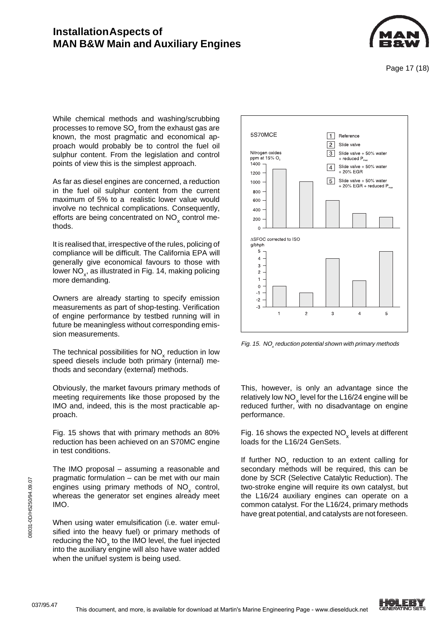

Page 17 (18)

While chemical methods and washing/scrubbing processes to remove SO $_\mathrm{\mathrm{x}}^{\mathrm{}}$  from the exhaust gas are known, the most pragmatic and economical approach would probably be to control the fuel oil sulphur content. From the legislation and control points of view this is the simplest approach.

As far as diesel engines are concerned, a reduction in the fuel oil sulphur content from the current maximum of 5% to a realistic lower value would involve no technical complications. Consequently, efforts are being concentrated on NO<sub>x</sub> control methods.

It is realised that, irrespective of the rules, policing of compliance will be difficult. The California EPA will generally give economical favours to those with lower NO $_{\mathrm{x}}$ , as illustrated in Fig. 14, making policing more demanding.

Owners are already starting to specify emission measurements as part of shop-testing. Verification of engine performance by testbed running will in future be meaningless without corresponding emission measurements.

The technical possibilities for  $NO_{\mathsf{x}}$  reduction in low speed diesels include both primary (internal) methods and secondary (external) methods.

Obviously, the market favours primary methods of meeting requirements like those proposed by the IMO and, indeed, this is the most practicable approach.

Fig. 15 shows that with primary methods an 80% reduction has been achieved on an S70MC engine in test conditions.

The IMO proposal – assuming a reasonable and pragmatic formulation – can be met with our main engines using primary methods of  $NO_{\chi}$  control, whereas the generator set engines already meet IMO.

When using water emulsification (i.e. water emulsified into the heavy fuel) or primary methods of reducing the  $NO_{x}$  to the IMO level, the fuel injected into the auxiliary engine will also have water added when the unifuel system is being used.



Fig. 15.  $\,$  NO $_{\rm x}$  reduction potential shown with primary methods

This, however, is only an advantage since the relatively low  $\mathrm{NO}_{_\mathrm{x}}$  level for the L16/24 engine will be reduced further, with no disadvantage on engine performance.

Fig. 16 shows the expected  $NO_{\chi}$  levels at different loads for the L16/24 GenSets.

If further  $NO<sub>x</sub>$  reduction to an extent calling for secondary methods will be required, this can be done by SCR (Selective Catalytic Reduction). The two-stroke engine will require its own catalyst, but the L16/24 auxiliary engines can operate on a common catalyst. For the L16/24, primary methods have great potential, and catalysts are not foreseen.